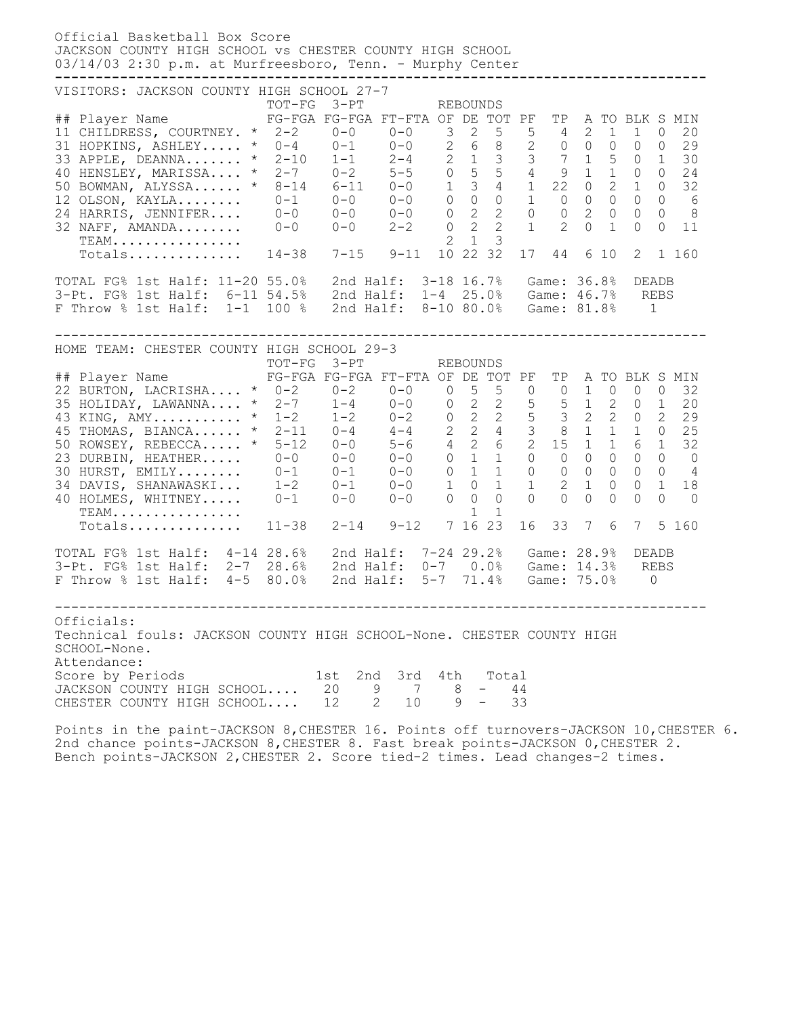| Official Basketball Box Score<br>JACKSON COUNTY HIGH SCHOOL VS CHESTER COUNTY HIGH SCHOOL<br>03/14/03 2:30 p.m. at Murfreesboro, Tenn. - Murphy Center                                                                                                                                                                                                                                                                                                                                                                                                                          |                                                                                                                            |           |  |                |                                                                                 |                                                                                                                                       |                                                                      |                                                                                                                                                                                                    |
|---------------------------------------------------------------------------------------------------------------------------------------------------------------------------------------------------------------------------------------------------------------------------------------------------------------------------------------------------------------------------------------------------------------------------------------------------------------------------------------------------------------------------------------------------------------------------------|----------------------------------------------------------------------------------------------------------------------------|-----------|--|----------------|---------------------------------------------------------------------------------|---------------------------------------------------------------------------------------------------------------------------------------|----------------------------------------------------------------------|----------------------------------------------------------------------------------------------------------------------------------------------------------------------------------------------------|
| VISITORS: JACKSON COUNTY HIGH SCHOOL 27-7<br>## Player Name FG-FGA FG-FGA FT-FTA OF DE TOT PF TP A TO BLK S MIN<br>11 CHILDRESS, COURTNEY. * 2-2 0-0 0-0 3<br>31 HOPKINS, ASHLEY * 0-4 0-1 0-0 2 6 8 2 0 0 0<br>33 APPLE, DEANNA * 2-10  1-1  2-4  2  1  3  3  7  1  5  0  1<br>40 HENSLEY, MARISSA * 2-7  0-2  5-5  0  5  5  4  9  1  1  0  0<br>50 BOWMAN, ALYSSA * 8-14 6-11 0-0 1 3 4 1 22 0 2<br>12 OLSON, KAYLA 0-1 0-0 0-0 0 0 0 1 0 0 0<br>24 HARRIS, JENNIFER 0-0 0-0 0-0 0 2 2 0 0 2 0<br>32 NAFF, AMANDA 0-0 0-0 2-2 0 2 2 1 2 0 1<br>TEAM<br>Totals 14-38 7-15 9-11 | TOT-FG 3-PT                                                                                                                |           |  | $\overline{2}$ | REBOUNDS<br>$\overline{2}$<br>$5\overline{)}$<br>$1 \quad 3$<br>10 22 32        | $5 \t 4 \t 2$                                                                                                                         | $\mathbf{1}$<br>17 44 6 10 2                                         | $\mathbf{1}$<br>20<br>$\overline{0}$<br>$0\qquad 0$<br>29<br>30<br>24<br>$1 \quad 0$<br>32<br>$0\qquad 6$<br>$\overline{0}$<br>$0\qquad 8$<br>$\circ$<br>$\overline{0}$<br>$\Omega$<br>11<br>1 160 |
| TOTAL FG% 1st Half: 11-20 55.0%<br>3-Pt. FG% 1st Half: 6-11 54.5% 2nd Half: 1-4 25.0% Game: 46.7% REBS<br>F Throw % 1st Half: 1-1 100 %                                                                                                                                                                                                                                                                                                                                                                                                                                         |                                                                                                                            |           |  |                |                                                                                 | 2nd Half: 3-18 16.7% Game: 36.8% DEADB<br>2nd Half: 8-10 80.0% Game: 81.8% 1                                                          |                                                                      |                                                                                                                                                                                                    |
| HOME TEAM: CHESTER COUNTY HIGH SCHOOL 29-3<br>## Player Name FG-FGA FG-FGA FT-FTA OF DE TOT PF<br>22 BURTON, LACRISHA * 0-2 0-2 0-0 0 5 5 0 0 1 0 0 0<br>35 HOLIDAY, LAWANNA * 2-7 1-4 0-0 0 2 2 5 5 1 2 0 1<br>43 KING, AMY * 1-2 1-2 0-2 0 2 2 5 3 2 2 0 2<br>45 THOMAS, BIANCA * 2-11 0-4 4-4 2 2 4 3 3 1 1<br>50 ROWSEY, REBECCA * 5-12<br>23 DURBIN, HEATHER<br>30 HURST, EMILY 0-1 0-1<br>34 DAVIS, SHANAWASKI 1-2 0-1 0-0<br>40 HOLMES, WHITNEY 0-1 0-0 0-0 0 0<br>TEAM.<br>Totals                                                                                       | TOT-FG 3-PT<br>$5-12$ $0-0$ $5-6$ $4$ 2<br>$0-0$ $0-0$ $0-0$ 0 1<br>$0-1$ $0-1$ $0-0$ 0 1<br>$11-38$ $2-14$ $9-12$ 7 16 23 |           |  | 1              | REBOUNDS<br>1<br>$\circ$<br>1<br>$\overline{0}$<br>$\mathbf{1}$<br>$\mathbf{1}$ | $2\quad 6\quad 2\quad 15\quad 1$<br>1 0 0 0 0 0<br>$\begin{matrix} 0 & 0 & 0 \end{matrix}$<br>$1 \qquad 2 \qquad 1$<br>$\Omega$<br>16 | 1<br>$\circ$<br>$\overline{0}$<br>$0 \Omega$<br>$\Omega$<br>33 7 6 7 | TP A TO BLK S MIN<br>32<br>20<br>29<br>25<br>6 1<br>32<br>$0\qquad 0$<br>$\overline{O}$<br>$0\qquad 4$<br>1<br>$\overline{0}$<br>18<br>$\Omega$<br>$\Omega$<br>$\bigcap$<br>5 160                  |
| TOTAL FG% 1st Half: 4-14 28.6% 2nd Half: 7-24 29.2% Game: 28.9%<br>3-Pt. FG% 1st Half: 2-7 28.6%<br>F Throw % 1st Half: 4-5 80.0%                                                                                                                                                                                                                                                                                                                                                                                                                                               |                                                                                                                            | 2nd Half: |  | $5 - 7$        | 71.4%                                                                           | 2nd Half: 0-7 0.0% Game: 14.3% REBS                                                                                                   | Game: 75.0%                                                          | DEADB<br>$\overline{0}$                                                                                                                                                                            |
| Officials:<br>Technical fouls: JACKSON COUNTY HIGH SCHOOL-None. CHESTER COUNTY HIGH<br>SCHOOL-None.<br>Attendance:<br>2nd 3rd 4th Total<br>Score by Periods<br>JACKSON COUNTY HIGH SCHOOL 20 9 7 8 - 44<br>CHESTER COUNTY HIGH SCHOOL 12 2 10 9 - 33                                                                                                                                                                                                                                                                                                                            |                                                                                                                            |           |  |                |                                                                                 |                                                                                                                                       |                                                                      |                                                                                                                                                                                                    |

Points in the paint-JACKSON 8,CHESTER 16. Points off turnovers-JACKSON 10,CHESTER 6. 2nd chance points-JACKSON 8,CHESTER 8. Fast break points-JACKSON 0,CHESTER 2. Bench points-JACKSON 2,CHESTER 2. Score tied-2 times. Lead changes-2 times.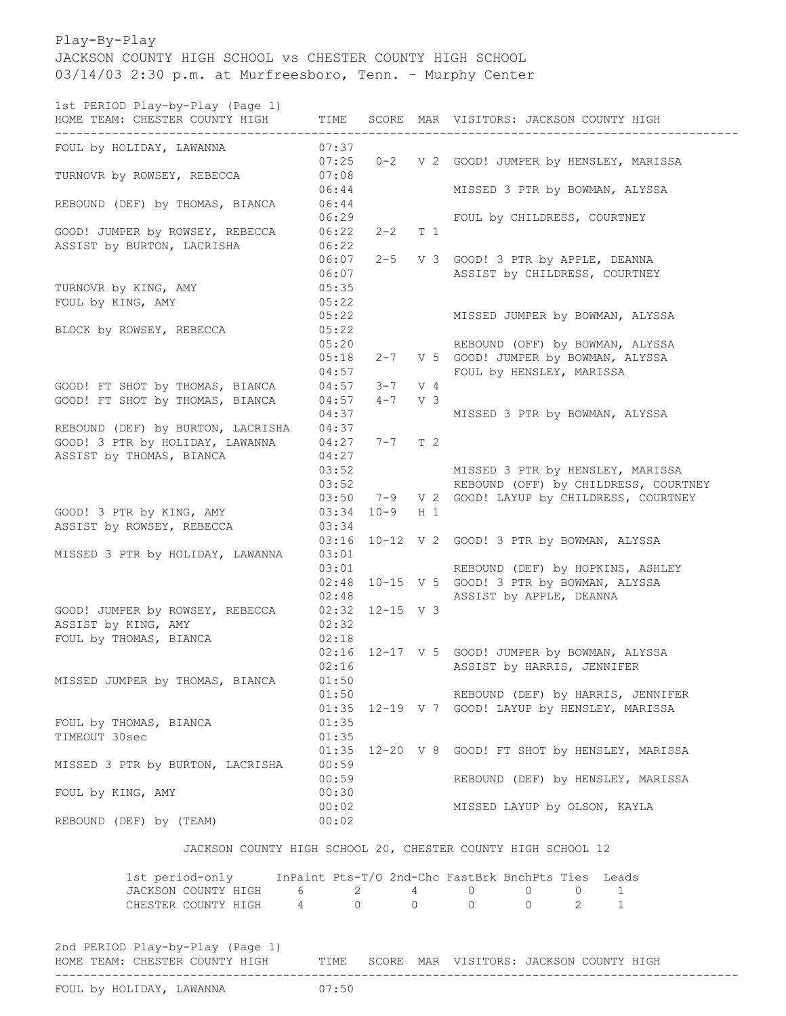## Play-By-Play JACKSON COUNTY HIGH SCHOOL vs CHESTER COUNTY HIGH SCHOOL 03/14/03 2:30 p.m. at Murfreesboro, Tenn. - Murphy Center

1st PERIOD Play-by-Play (Page 1)

| ----------------------------------<br>FOUL by HOLIDAY, LAWANNA<br>07:37<br>0-2 V 2 GOOD! JUMPER by HENSLEY, MARISSA<br>07:25<br>TURNOVR by ROWSEY, REBECCA<br>07:08<br>06:44<br>MISSED 3 PTR by BOWMAN, ALYSSA<br>06:44<br>REBOUND (DEF) by THOMAS, BIANCA<br>06:29<br>FOUL by CHILDRESS, COURTNEY<br>GOOD! JUMPER by ROWSEY, REBECCA<br>06:22<br>$2 - 2$<br>T 1<br>ASSIST by BURTON, LACRISHA<br>06:22<br>06:07<br>2-5 V 3 GOOD! 3 PTR by APPLE, DEANNA<br>ASSIST by CHILDRESS, COURTNEY<br>06:07<br>05:35<br>TURNOVR by KING, AMY<br>FOUL by KING, AMY<br>05:22<br>05:22<br>MISSED JUMPER by BOWMAN, ALYSSA<br>BLOCK by ROWSEY, REBECCA<br>05:22<br>05:20<br>REBOUND (OFF) by BOWMAN, ALYSSA<br>05:18<br>2-7 V 5 GOOD! JUMPER by BOWMAN, ALYSSA<br>04:57<br>FOUL by HENSLEY, MARISSA<br>GOOD! FT SHOT by THOMAS, BIANCA<br>04:57<br>$3 - 7$<br>V 4<br>GOOD! FT SHOT by THOMAS, BIANCA<br>V <sub>3</sub><br>04:57<br>$4 - 7$<br>04:37<br>MISSED 3 PTR by BOWMAN, ALYSSA<br>REBOUND (DEF) by BURTON, LACRISHA<br>04:37<br>GOOD! 3 PTR by HOLIDAY, LAWANNA<br>$7-7$ T 2<br>04:27<br>ASSIST by THOMAS, BIANCA<br>04:27<br>03:52<br>MISSED 3 PTR by HENSLEY, MARISSA<br>REBOUND (OFF) by CHILDRESS, COURTNEY<br>03:52<br>03:50<br>7-9 V 2 GOOD! LAYUP by CHILDRESS, COURTNEY<br>GOOD! 3 PTR by KING, AMY<br>$10 - 9$<br>03:34<br>$H_1$<br>ASSIST by ROWSEY, REBECCA<br>03:34<br>03:16<br>10-12 V 2 GOOD! 3 PTR by BOWMAN, ALYSSA<br>03:01<br>MISSED 3 PTR by HOLIDAY, LAWANNA<br>03:01<br>REBOUND (DEF) by HOPKINS, ASHLEY<br>02:48 10-15 V 5 GOOD! 3 PTR by BOWMAN, ALYSSA<br>ASSIST by APPLE, DEANNA<br>02:48<br>$02:32$ $12-15$ V 3<br>GOOD! JUMPER by ROWSEY, REBECCA<br>ASSIST by KING, AMY<br>02:32<br>FOUL by THOMAS, BIANCA<br>02:18<br>02:16 12-17 V 5 GOOD! JUMPER by BOWMAN, ALYSSA<br>02:16<br>ASSIST by HARRIS, JENNIFER<br>MISSED JUMPER by THOMAS, BIANCA<br>01:50<br>01:50<br>REBOUND (DEF) by HARRIS, JENNIFER |
|------------------------------------------------------------------------------------------------------------------------------------------------------------------------------------------------------------------------------------------------------------------------------------------------------------------------------------------------------------------------------------------------------------------------------------------------------------------------------------------------------------------------------------------------------------------------------------------------------------------------------------------------------------------------------------------------------------------------------------------------------------------------------------------------------------------------------------------------------------------------------------------------------------------------------------------------------------------------------------------------------------------------------------------------------------------------------------------------------------------------------------------------------------------------------------------------------------------------------------------------------------------------------------------------------------------------------------------------------------------------------------------------------------------------------------------------------------------------------------------------------------------------------------------------------------------------------------------------------------------------------------------------------------------------------------------------------------------------------------------------------------------------------------------------------------------------------------------------------------------------------------------------------------------------------|
|                                                                                                                                                                                                                                                                                                                                                                                                                                                                                                                                                                                                                                                                                                                                                                                                                                                                                                                                                                                                                                                                                                                                                                                                                                                                                                                                                                                                                                                                                                                                                                                                                                                                                                                                                                                                                                                                                                                              |
|                                                                                                                                                                                                                                                                                                                                                                                                                                                                                                                                                                                                                                                                                                                                                                                                                                                                                                                                                                                                                                                                                                                                                                                                                                                                                                                                                                                                                                                                                                                                                                                                                                                                                                                                                                                                                                                                                                                              |
|                                                                                                                                                                                                                                                                                                                                                                                                                                                                                                                                                                                                                                                                                                                                                                                                                                                                                                                                                                                                                                                                                                                                                                                                                                                                                                                                                                                                                                                                                                                                                                                                                                                                                                                                                                                                                                                                                                                              |
|                                                                                                                                                                                                                                                                                                                                                                                                                                                                                                                                                                                                                                                                                                                                                                                                                                                                                                                                                                                                                                                                                                                                                                                                                                                                                                                                                                                                                                                                                                                                                                                                                                                                                                                                                                                                                                                                                                                              |
|                                                                                                                                                                                                                                                                                                                                                                                                                                                                                                                                                                                                                                                                                                                                                                                                                                                                                                                                                                                                                                                                                                                                                                                                                                                                                                                                                                                                                                                                                                                                                                                                                                                                                                                                                                                                                                                                                                                              |
|                                                                                                                                                                                                                                                                                                                                                                                                                                                                                                                                                                                                                                                                                                                                                                                                                                                                                                                                                                                                                                                                                                                                                                                                                                                                                                                                                                                                                                                                                                                                                                                                                                                                                                                                                                                                                                                                                                                              |
|                                                                                                                                                                                                                                                                                                                                                                                                                                                                                                                                                                                                                                                                                                                                                                                                                                                                                                                                                                                                                                                                                                                                                                                                                                                                                                                                                                                                                                                                                                                                                                                                                                                                                                                                                                                                                                                                                                                              |
|                                                                                                                                                                                                                                                                                                                                                                                                                                                                                                                                                                                                                                                                                                                                                                                                                                                                                                                                                                                                                                                                                                                                                                                                                                                                                                                                                                                                                                                                                                                                                                                                                                                                                                                                                                                                                                                                                                                              |
|                                                                                                                                                                                                                                                                                                                                                                                                                                                                                                                                                                                                                                                                                                                                                                                                                                                                                                                                                                                                                                                                                                                                                                                                                                                                                                                                                                                                                                                                                                                                                                                                                                                                                                                                                                                                                                                                                                                              |
|                                                                                                                                                                                                                                                                                                                                                                                                                                                                                                                                                                                                                                                                                                                                                                                                                                                                                                                                                                                                                                                                                                                                                                                                                                                                                                                                                                                                                                                                                                                                                                                                                                                                                                                                                                                                                                                                                                                              |
|                                                                                                                                                                                                                                                                                                                                                                                                                                                                                                                                                                                                                                                                                                                                                                                                                                                                                                                                                                                                                                                                                                                                                                                                                                                                                                                                                                                                                                                                                                                                                                                                                                                                                                                                                                                                                                                                                                                              |
|                                                                                                                                                                                                                                                                                                                                                                                                                                                                                                                                                                                                                                                                                                                                                                                                                                                                                                                                                                                                                                                                                                                                                                                                                                                                                                                                                                                                                                                                                                                                                                                                                                                                                                                                                                                                                                                                                                                              |
|                                                                                                                                                                                                                                                                                                                                                                                                                                                                                                                                                                                                                                                                                                                                                                                                                                                                                                                                                                                                                                                                                                                                                                                                                                                                                                                                                                                                                                                                                                                                                                                                                                                                                                                                                                                                                                                                                                                              |
|                                                                                                                                                                                                                                                                                                                                                                                                                                                                                                                                                                                                                                                                                                                                                                                                                                                                                                                                                                                                                                                                                                                                                                                                                                                                                                                                                                                                                                                                                                                                                                                                                                                                                                                                                                                                                                                                                                                              |
|                                                                                                                                                                                                                                                                                                                                                                                                                                                                                                                                                                                                                                                                                                                                                                                                                                                                                                                                                                                                                                                                                                                                                                                                                                                                                                                                                                                                                                                                                                                                                                                                                                                                                                                                                                                                                                                                                                                              |
|                                                                                                                                                                                                                                                                                                                                                                                                                                                                                                                                                                                                                                                                                                                                                                                                                                                                                                                                                                                                                                                                                                                                                                                                                                                                                                                                                                                                                                                                                                                                                                                                                                                                                                                                                                                                                                                                                                                              |
|                                                                                                                                                                                                                                                                                                                                                                                                                                                                                                                                                                                                                                                                                                                                                                                                                                                                                                                                                                                                                                                                                                                                                                                                                                                                                                                                                                                                                                                                                                                                                                                                                                                                                                                                                                                                                                                                                                                              |
|                                                                                                                                                                                                                                                                                                                                                                                                                                                                                                                                                                                                                                                                                                                                                                                                                                                                                                                                                                                                                                                                                                                                                                                                                                                                                                                                                                                                                                                                                                                                                                                                                                                                                                                                                                                                                                                                                                                              |
|                                                                                                                                                                                                                                                                                                                                                                                                                                                                                                                                                                                                                                                                                                                                                                                                                                                                                                                                                                                                                                                                                                                                                                                                                                                                                                                                                                                                                                                                                                                                                                                                                                                                                                                                                                                                                                                                                                                              |
|                                                                                                                                                                                                                                                                                                                                                                                                                                                                                                                                                                                                                                                                                                                                                                                                                                                                                                                                                                                                                                                                                                                                                                                                                                                                                                                                                                                                                                                                                                                                                                                                                                                                                                                                                                                                                                                                                                                              |
|                                                                                                                                                                                                                                                                                                                                                                                                                                                                                                                                                                                                                                                                                                                                                                                                                                                                                                                                                                                                                                                                                                                                                                                                                                                                                                                                                                                                                                                                                                                                                                                                                                                                                                                                                                                                                                                                                                                              |
|                                                                                                                                                                                                                                                                                                                                                                                                                                                                                                                                                                                                                                                                                                                                                                                                                                                                                                                                                                                                                                                                                                                                                                                                                                                                                                                                                                                                                                                                                                                                                                                                                                                                                                                                                                                                                                                                                                                              |
|                                                                                                                                                                                                                                                                                                                                                                                                                                                                                                                                                                                                                                                                                                                                                                                                                                                                                                                                                                                                                                                                                                                                                                                                                                                                                                                                                                                                                                                                                                                                                                                                                                                                                                                                                                                                                                                                                                                              |
|                                                                                                                                                                                                                                                                                                                                                                                                                                                                                                                                                                                                                                                                                                                                                                                                                                                                                                                                                                                                                                                                                                                                                                                                                                                                                                                                                                                                                                                                                                                                                                                                                                                                                                                                                                                                                                                                                                                              |
|                                                                                                                                                                                                                                                                                                                                                                                                                                                                                                                                                                                                                                                                                                                                                                                                                                                                                                                                                                                                                                                                                                                                                                                                                                                                                                                                                                                                                                                                                                                                                                                                                                                                                                                                                                                                                                                                                                                              |
|                                                                                                                                                                                                                                                                                                                                                                                                                                                                                                                                                                                                                                                                                                                                                                                                                                                                                                                                                                                                                                                                                                                                                                                                                                                                                                                                                                                                                                                                                                                                                                                                                                                                                                                                                                                                                                                                                                                              |
|                                                                                                                                                                                                                                                                                                                                                                                                                                                                                                                                                                                                                                                                                                                                                                                                                                                                                                                                                                                                                                                                                                                                                                                                                                                                                                                                                                                                                                                                                                                                                                                                                                                                                                                                                                                                                                                                                                                              |
|                                                                                                                                                                                                                                                                                                                                                                                                                                                                                                                                                                                                                                                                                                                                                                                                                                                                                                                                                                                                                                                                                                                                                                                                                                                                                                                                                                                                                                                                                                                                                                                                                                                                                                                                                                                                                                                                                                                              |
|                                                                                                                                                                                                                                                                                                                                                                                                                                                                                                                                                                                                                                                                                                                                                                                                                                                                                                                                                                                                                                                                                                                                                                                                                                                                                                                                                                                                                                                                                                                                                                                                                                                                                                                                                                                                                                                                                                                              |
|                                                                                                                                                                                                                                                                                                                                                                                                                                                                                                                                                                                                                                                                                                                                                                                                                                                                                                                                                                                                                                                                                                                                                                                                                                                                                                                                                                                                                                                                                                                                                                                                                                                                                                                                                                                                                                                                                                                              |
|                                                                                                                                                                                                                                                                                                                                                                                                                                                                                                                                                                                                                                                                                                                                                                                                                                                                                                                                                                                                                                                                                                                                                                                                                                                                                                                                                                                                                                                                                                                                                                                                                                                                                                                                                                                                                                                                                                                              |
|                                                                                                                                                                                                                                                                                                                                                                                                                                                                                                                                                                                                                                                                                                                                                                                                                                                                                                                                                                                                                                                                                                                                                                                                                                                                                                                                                                                                                                                                                                                                                                                                                                                                                                                                                                                                                                                                                                                              |
|                                                                                                                                                                                                                                                                                                                                                                                                                                                                                                                                                                                                                                                                                                                                                                                                                                                                                                                                                                                                                                                                                                                                                                                                                                                                                                                                                                                                                                                                                                                                                                                                                                                                                                                                                                                                                                                                                                                              |
|                                                                                                                                                                                                                                                                                                                                                                                                                                                                                                                                                                                                                                                                                                                                                                                                                                                                                                                                                                                                                                                                                                                                                                                                                                                                                                                                                                                                                                                                                                                                                                                                                                                                                                                                                                                                                                                                                                                              |
|                                                                                                                                                                                                                                                                                                                                                                                                                                                                                                                                                                                                                                                                                                                                                                                                                                                                                                                                                                                                                                                                                                                                                                                                                                                                                                                                                                                                                                                                                                                                                                                                                                                                                                                                                                                                                                                                                                                              |
| 01:35 12-19 V 7 GOOD! LAYUP by HENSLEY, MARISSA                                                                                                                                                                                                                                                                                                                                                                                                                                                                                                                                                                                                                                                                                                                                                                                                                                                                                                                                                                                                                                                                                                                                                                                                                                                                                                                                                                                                                                                                                                                                                                                                                                                                                                                                                                                                                                                                              |
| 01:35<br>FOUL by THOMAS, BIANCA                                                                                                                                                                                                                                                                                                                                                                                                                                                                                                                                                                                                                                                                                                                                                                                                                                                                                                                                                                                                                                                                                                                                                                                                                                                                                                                                                                                                                                                                                                                                                                                                                                                                                                                                                                                                                                                                                              |
| TIMEOUT 30sec<br>01:35                                                                                                                                                                                                                                                                                                                                                                                                                                                                                                                                                                                                                                                                                                                                                                                                                                                                                                                                                                                                                                                                                                                                                                                                                                                                                                                                                                                                                                                                                                                                                                                                                                                                                                                                                                                                                                                                                                       |
| 01:35 12-20 V 8 GOOD! FT SHOT by HENSLEY, MARISSA                                                                                                                                                                                                                                                                                                                                                                                                                                                                                                                                                                                                                                                                                                                                                                                                                                                                                                                                                                                                                                                                                                                                                                                                                                                                                                                                                                                                                                                                                                                                                                                                                                                                                                                                                                                                                                                                            |
| MISSED 3 PTR by BURTON, LACRISHA 00:59                                                                                                                                                                                                                                                                                                                                                                                                                                                                                                                                                                                                                                                                                                                                                                                                                                                                                                                                                                                                                                                                                                                                                                                                                                                                                                                                                                                                                                                                                                                                                                                                                                                                                                                                                                                                                                                                                       |
| 00:59<br>REBOUND (DEF) by HENSLEY, MARISSA                                                                                                                                                                                                                                                                                                                                                                                                                                                                                                                                                                                                                                                                                                                                                                                                                                                                                                                                                                                                                                                                                                                                                                                                                                                                                                                                                                                                                                                                                                                                                                                                                                                                                                                                                                                                                                                                                   |
| 00:30<br>FOUL by KING, AMY<br>00:02<br>MISSED LAYUP by OLSON, KAYLA                                                                                                                                                                                                                                                                                                                                                                                                                                                                                                                                                                                                                                                                                                                                                                                                                                                                                                                                                                                                                                                                                                                                                                                                                                                                                                                                                                                                                                                                                                                                                                                                                                                                                                                                                                                                                                                          |
| 00:02<br>REBOUND (DEF) by (TEAM)                                                                                                                                                                                                                                                                                                                                                                                                                                                                                                                                                                                                                                                                                                                                                                                                                                                                                                                                                                                                                                                                                                                                                                                                                                                                                                                                                                                                                                                                                                                                                                                                                                                                                                                                                                                                                                                                                             |
|                                                                                                                                                                                                                                                                                                                                                                                                                                                                                                                                                                                                                                                                                                                                                                                                                                                                                                                                                                                                                                                                                                                                                                                                                                                                                                                                                                                                                                                                                                                                                                                                                                                                                                                                                                                                                                                                                                                              |
| JACKSON COUNTY HIGH SCHOOL 20, CHESTER COUNTY HIGH SCHOOL 12                                                                                                                                                                                                                                                                                                                                                                                                                                                                                                                                                                                                                                                                                                                                                                                                                                                                                                                                                                                                                                                                                                                                                                                                                                                                                                                                                                                                                                                                                                                                                                                                                                                                                                                                                                                                                                                                 |
| 1st period-only InPaint Pts-T/O 2nd-Chc FastBrk BnchPts Ties Leads                                                                                                                                                                                                                                                                                                                                                                                                                                                                                                                                                                                                                                                                                                                                                                                                                                                                                                                                                                                                                                                                                                                                                                                                                                                                                                                                                                                                                                                                                                                                                                                                                                                                                                                                                                                                                                                           |
| JACKSON COUNTY HIGH 6 2 4 0 0 0<br>1                                                                                                                                                                                                                                                                                                                                                                                                                                                                                                                                                                                                                                                                                                                                                                                                                                                                                                                                                                                                                                                                                                                                                                                                                                                                                                                                                                                                                                                                                                                                                                                                                                                                                                                                                                                                                                                                                         |
| CHESTER COUNTY HIGH 4 0 0 0 0 2 1                                                                                                                                                                                                                                                                                                                                                                                                                                                                                                                                                                                                                                                                                                                                                                                                                                                                                                                                                                                                                                                                                                                                                                                                                                                                                                                                                                                                                                                                                                                                                                                                                                                                                                                                                                                                                                                                                            |
| 2nd PERIOD Play-by-Play (Page 1)                                                                                                                                                                                                                                                                                                                                                                                                                                                                                                                                                                                                                                                                                                                                                                                                                                                                                                                                                                                                                                                                                                                                                                                                                                                                                                                                                                                                                                                                                                                                                                                                                                                                                                                                                                                                                                                                                             |
| HOME TEAM: CHESTER COUNTY HIGH TIME SCORE MAR VISITORS: JACKSON COUNTY HIGH                                                                                                                                                                                                                                                                                                                                                                                                                                                                                                                                                                                                                                                                                                                                                                                                                                                                                                                                                                                                                                                                                                                                                                                                                                                                                                                                                                                                                                                                                                                                                                                                                                                                                                                                                                                                                                                  |
| ------------------------------<br>07.50<br>$\lambda$                                                                                                                                                                                                                                                                                                                                                                                                                                                                                                                                                                                                                                                                                                                                                                                                                                                                                                                                                                                                                                                                                                                                                                                                                                                                                                                                                                                                                                                                                                                                                                                                                                                                                                                                                                                                                                                                         |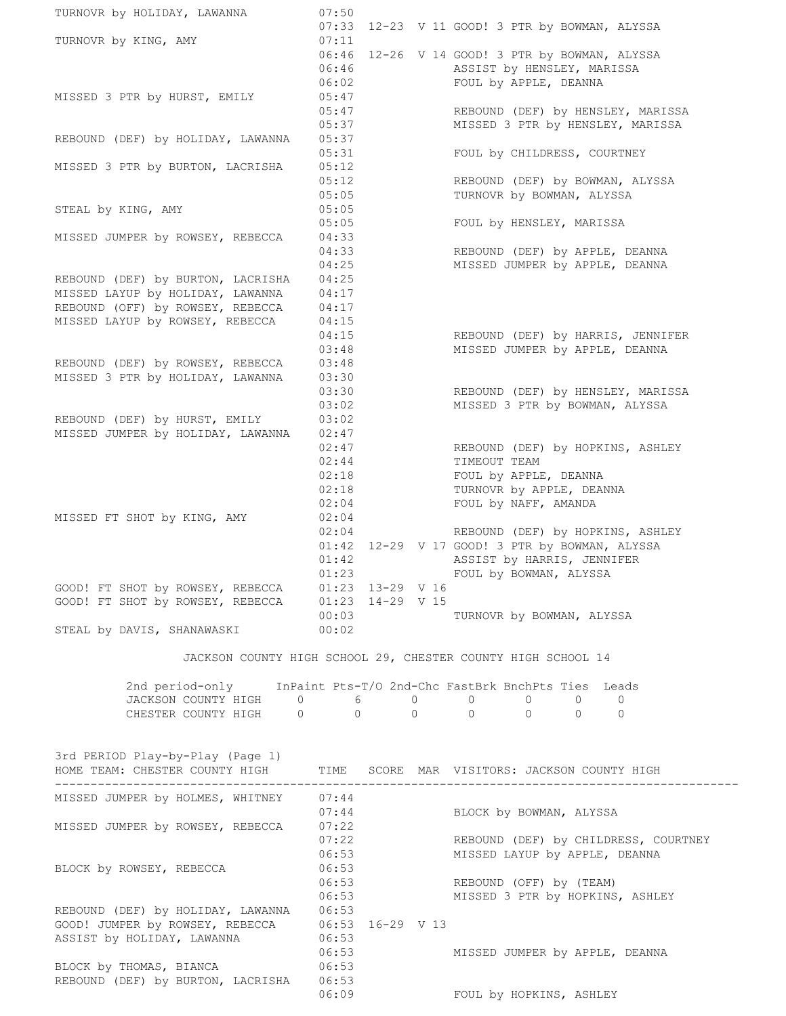| TURNOVR by HOLIDAY, LAWANNA                                                    | 07:50          |  |                                                                       |
|--------------------------------------------------------------------------------|----------------|--|-----------------------------------------------------------------------|
| TURNOVR by KING, AMY                                                           | 07:33<br>07:11 |  | 12-23 V 11 GOOD! 3 PTR by BOWMAN, ALYSSA                              |
|                                                                                | 06:46          |  | 12-26 V 14 GOOD! 3 PTR by BOWMAN, ALYSSA                              |
|                                                                                | 06:46<br>06:02 |  | ASSIST by HENSLEY, MARISSA<br>FOUL by APPLE, DEANNA                   |
| MISSED 3 PTR by HURST, EMILY                                                   | 05:47          |  |                                                                       |
|                                                                                | 05:47<br>05:37 |  | REBOUND (DEF) by HENSLEY, MARISSA<br>MISSED 3 PTR by HENSLEY, MARISSA |
| REBOUND (DEF) by HOLIDAY, LAWANNA                                              | 05:37          |  |                                                                       |
|                                                                                | 05:31          |  | FOUL by CHILDRESS, COURTNEY                                           |
| MISSED 3 PTR by BURTON, LACRISHA                                               | 05:12<br>05:12 |  | REBOUND (DEF) by BOWMAN, ALYSSA                                       |
|                                                                                | 05:05          |  | TURNOVR by BOWMAN, ALYSSA                                             |
| STEAL by KING, AMY                                                             | 05:05<br>05:05 |  | FOUL by HENSLEY, MARISSA                                              |
| MISSED JUMPER by ROWSEY, REBECCA                                               | 04:33          |  |                                                                       |
|                                                                                | 04:33          |  | REBOUND (DEF) by APPLE, DEANNA                                        |
| REBOUND (DEF) by BURTON, LACRISHA                                              | 04:25<br>04:25 |  | MISSED JUMPER by APPLE, DEANNA                                        |
| MISSED LAYUP by HOLIDAY, LAWANNA                                               | 04:17          |  |                                                                       |
| REBOUND (OFF) by ROWSEY, REBECCA                                               | 04:17          |  |                                                                       |
| MISSED LAYUP by ROWSEY, REBECCA                                                | 04:15<br>04:15 |  | REBOUND (DEF) by HARRIS, JENNIFER                                     |
|                                                                                | 03:48          |  | MISSED JUMPER by APPLE, DEANNA                                        |
| REBOUND (DEF) by ROWSEY, REBECCA<br>MISSED 3 PTR by HOLIDAY, LAWANNA           | 03:48<br>03:30 |  |                                                                       |
|                                                                                | 03:30          |  | REBOUND (DEF) by HENSLEY, MARISSA                                     |
|                                                                                | 03:02          |  | MISSED 3 PTR by BOWMAN, ALYSSA                                        |
| REBOUND (DEF) by HURST, EMILY<br>MISSED JUMPER by HOLIDAY, LAWANNA             | 03:02<br>02:47 |  |                                                                       |
|                                                                                | 02:47          |  | REBOUND (DEF) by HOPKINS, ASHLEY                                      |
|                                                                                | 02:44          |  | TIMEOUT TEAM                                                          |
|                                                                                | 02:18<br>02:18 |  | FOUL by APPLE, DEANNA<br>TURNOVR by APPLE, DEANNA                     |
|                                                                                | 02:04          |  | FOUL by NAFF, AMANDA                                                  |
| MISSED FT SHOT by KING, AMY                                                    | 02:04<br>02:04 |  | REBOUND (DEF) by HOPKINS, ASHLEY                                      |
|                                                                                |                |  | 01:42 12-29 V 17 GOOD! 3 PTR by BOWMAN, ALYSSA                        |
|                                                                                | 01:42          |  | ASSIST by HARRIS, JENNIFER                                            |
| GOOD! FT SHOT by ROWSEY, REBECCA 01:23 13-29 V 16                              | 01:23          |  | FOUL by BOWMAN, ALYSSA                                                |
| GOOD! FT SHOT by ROWSEY, REBECCA  01:23 14-29 V 15                             |                |  |                                                                       |
| STEAL by DAVIS, SHANAWASKI                                                     | 00:03<br>00:02 |  | TURNOVR by BOWMAN, ALYSSA                                             |
|                                                                                |                |  |                                                                       |
|                                                                                |                |  | JACKSON COUNTY HIGH SCHOOL 29, CHESTER COUNTY HIGH SCHOOL 14          |
|                                                                                |                |  | 2nd period-only InPaint Pts-T/O 2nd-Chc FastBrk BnchPts Ties Leads    |
| JACKSON COUNTY HIGH 0 6 0 0 0                                                  |                |  | 0<br>$\mathbf{0}$                                                     |
|                                                                                |                |  | $0 \qquad 0$                                                          |
|                                                                                |                |  |                                                                       |
| 3rd PERIOD Play-by-Play (Page 1)                                               |                |  |                                                                       |
| HOME TEAM: CHESTER COUNTY HIGH TIME SCORE MAR VISITORS: JACKSON COUNTY HIGH    |                |  |                                                                       |
| MISSED JUMPER by HOLMES, WHITNEY 07:44                                         |                |  |                                                                       |
| MISSED JUMPER by ROWSEY, REBECCA                                               | 07:44<br>07:22 |  | BLOCK by BOWMAN, ALYSSA                                               |
|                                                                                | 07:22          |  | REBOUND (DEF) by CHILDRESS, COURTNEY                                  |
|                                                                                | 06:53          |  | MISSED LAYUP by APPLE, DEANNA                                         |
| BLOCK by ROWSEY, REBECCA                                                       | 06:53<br>06:53 |  | REBOUND (OFF) by (TEAM)                                               |
|                                                                                | 06:53          |  | MISSED 3 PTR by HOPKINS, ASHLEY                                       |
| REBOUND (DEF) by HOLIDAY, LAWANNA 06:53                                        |                |  |                                                                       |
| GOOD! JUMPER by ROWSEY, REBECCA 06:53 16-29 V 13<br>ASSIST by HOLIDAY, LAWANNA | 06:53          |  |                                                                       |
|                                                                                | 06:53          |  | MISSED JUMPER by APPLE, DEANNA                                        |
| BLOCK by THOMAS, BIANCA<br>REBOUND (DEF) by BURTON, LACRISHA                   | 06:53<br>06:53 |  |                                                                       |
|                                                                                |                |  |                                                                       |

06:09 FOUL by HOPKINS, ASHLEY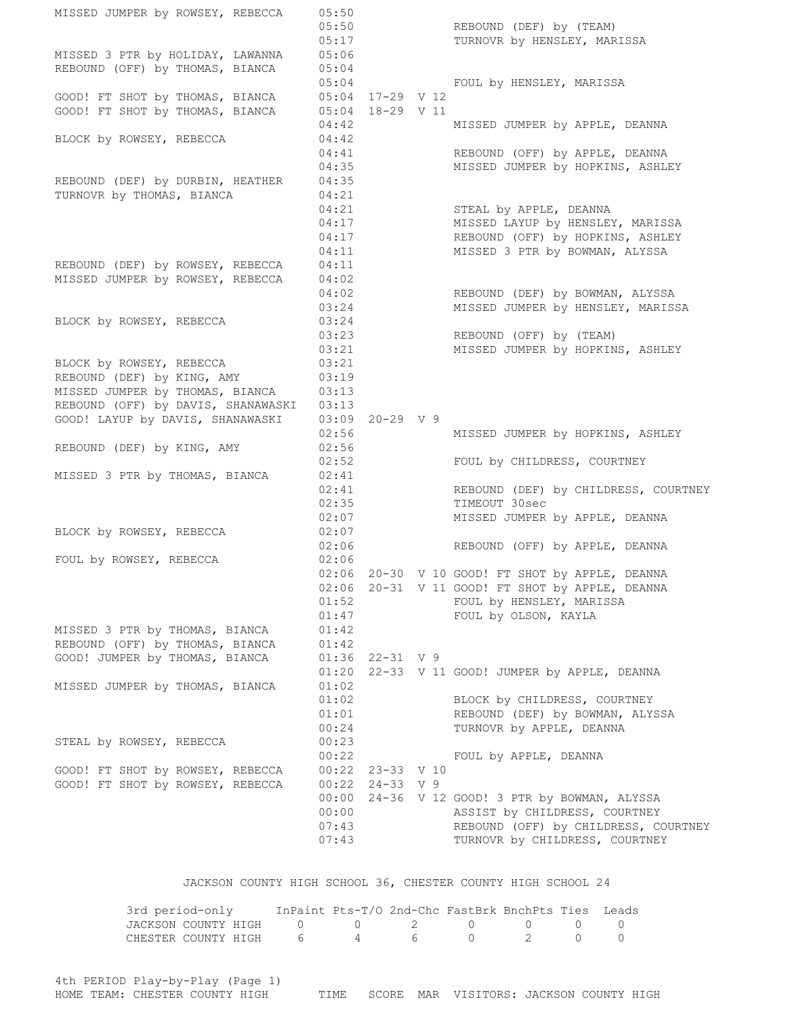MISSED JUMPER by ROWSEY, REBECCA 05:50 05:50 REBOUND (DEF) by (TEAM) 05:17 TURNOVR by HENSLEY, MARISSA MISSED 3 PTR by HOLIDAY, LAWANNA 05:06 REBOUND (OFF) by THOMAS, BIANCA 05:04 05:04 FOUL by HENSLEY, MARISSA GOOD! FT SHOT by THOMAS, BIANCA 05:04 17-29 V 12 GOOD! FT SHOT by THOMAS, BIANCA  $05:04$  18-29 V 11 04:42 MISSED JUMPER by APPLE, DEANNA BLOCK by ROWSEY, REBECCA 04:42 04:41 REBOUND (OFF) by APPLE, DEANNA 04:35 MISSED JUMPER by HOPKINS, ASHLEY REBOUND (DEF) by DURBIN, HEATHER 04:35 TURNOVR by THOMAS, BIANCA 04:21 04:21 STEAL by APPLE, DEANNA<br>04:17 MISSED LAYUP by HENSLE<br>04:17 REBOUND (OFF) by HOPKII MISSED LAYUP by HENSLEY, MARISSA REBOUND (OFF) by HOPKINS, ASHLEY 04:11 MISSED 3 PTR by BOWMAN, ALYSSA REBOUND (DEF) by ROWSEY, REBECCA 04:11 MISSED JUMPER by ROWSEY, REBECCA 04:02 04:02 REBOUND (DEF) by BOWMAN, ALYSSA 03:24 MISSED JUMPER by HENSLEY, MARISSA BLOCK by ROWSEY, REBECCA 03:24 03:23 REBOUND (OFF) by (TEAM) 03:21 MISSED JUMPER by HOPKINS, ASHLEY BLOCK by ROWSEY, REBECCA 03:21 REBOUND (DEF) by KING, AMY 03:19 MISSED JUMPER by THOMAS, BIANCA 03:13 REBOUND (OFF) by DAVIS, SHANAWASKI 03:13 GOOD! LAYUP by DAVIS, SHANAWASKI 03:09 20-29 V 9 02:56 MISSED JUMPER by HOPKINS, ASHLEY REBOUND (DEF) by KING, AMY 02:56 02:52 FOUL by CHILDRESS, COURTNEY MISSED 3 PTR by THOMAS, BIANCA 02:41 02:41 REBOUND (DEF) by CHILDRESS, COURTNEY 02:35 TIMEOUT 30sec 02:07 MISSED JUMPER by APPLE, DEANNA BLOCK by ROWSEY, REBECCA 02:07 02:06 REBOUND (OFF) by APPLE, DEANNA FOUL by ROWSEY, REBECCA 02:06 02:06 20-30 V 10 GOOD! FT SHOT by APPLE, DEANNA 02:06 20-31 V 11 GOOD! FT SHOT by APPLE, DEANNA 01:52 FOUL by HENSLEY, MARISSA 01:47 FOUL by OLSON, KAYLA MISSED 3 PTR by THOMAS, BIANCA 01:42 REBOUND (OFF) by THOMAS, BIANCA 01:42 GOOD! JUMPER by THOMAS, BIANCA 01:36 22-31 V 9 01:20 22-33 V 11 GOOD! JUMPER by APPLE, DEANNA MISSED JUMPER by THOMAS, BIANCA 01:02 01:02 BLOCK by CHILDRESS, COURTNEY 01:01 REBOUND (DEF) by BOWMAN, ALYSSA 00:24 TURNOVR by APPLE, DEANNA STEAL by ROWSEY, REBECCA 00:23 00:22 FOUL by APPLE, DEANNA GOOD! FT SHOT by ROWSEY, REBECCA 00:22 23-33 V 10 GOOD! FT SHOT by ROWSEY, REBECCA 00:22 24-33 V 9 00:00 24-36 V 12 GOOD! 3 PTR by BOWMAN, ALYSSA 00:00 ASSIST by CHILDRESS, COURTNEY 07:43 REBOUND (OFF) by CHILDRESS, COURTNEY 07:43 TURNOVR by CHILDRESS, COURTNEY JACKSON COUNTY HIGH SCHOOL 36, CHESTER COUNTY HIGH SCHOOL 24

| 3rd period-only                   | InPaint Pts-T/O 2nd-Chc FastBrk BnchPts Ties Leads |  |  |  |
|-----------------------------------|----------------------------------------------------|--|--|--|
| JACKSON COUNTY HIGH 0 0 2 0 0 0 0 |                                                    |  |  |  |
| CHESTER COUNTY HIGH 6 4 6 0 2 0 0 |                                                    |  |  |  |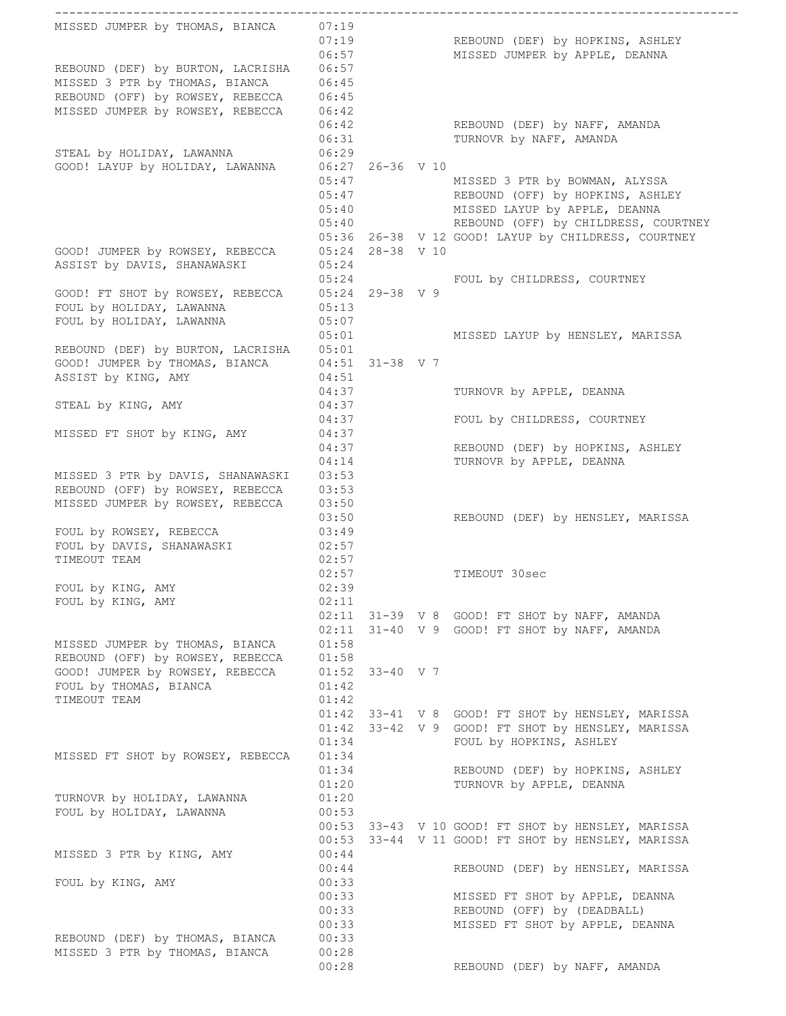MISSED JUMPER by THOMAS, BIANCA 07:19 07:19 REBOUND (DEF) by HOPKINS, ASHLEY 06:57 MISSED JUMPER by APPLE, DEANNA 06:57<br>REBOUND (DEF) by BURTON, LACRISHA 06:57 MISSED 3 PTR by THOMAS, BIANCA 06:45 REBOUND (OFF) by ROWSEY, REBECCA 06:45 MISSED JUMPER by ROWSEY, REBECCA 06:42 06:42 REBOUND (DEF) by NAFF, AMANDA 06:31 TURNOVR by NAFF, AMANDA STEAL by HOLIDAY, LAWANNA 06:29 GOOD! LAYUP by HOLIDAY, LAWANNA 06:27 26-36 V 10 05:47 MISSED 3 PTR by BOWMAN, ALYSSA 05:47 REBOUND (OFF) by HOPKINS, ASHLEY 05:40 MISSED LAYUP by APPLE, DEANNA<br>05:40 REBOUND (OFF) by CHILDRESS, CO REBOUND (OFF) by CHILDRESS, COURTNEY 05:36 26-38 V 12 GOOD! LAYUP by CHILDRESS, COURTNEY GOOD! JUMPER by ROWSEY, REBECCA 05:24 28-38 V 10 ASSIST by DAVIS, SHANAWASKI 05:24 05:24 FOUL by CHILDRESS, COURTNEY GOOD! FT SHOT by ROWSEY, REBECCA 05:24 29-38 V 9 FOUL by HOLIDAY, LAWANNA  $05:13$ FOUL by HOLIDAY, LAWANNA 05:07 05:01 MISSED LAYUP by HENSLEY, MARISSA REBOUND (DEF) by BURTON, LACRISHA 05:01  $GOOD!$  JUMPER by THOMAS, BIANCA  $04:51$  31-38 V 7 ASSIST by KING, AMY 64:51 04:37 TURNOVR by APPLE, DEANNA STEAL by KING, AMY 04:37 04:37 FOUL by CHILDRESS, COURTNEY MISSED FT SHOT by KING, AMY 04:37 04:37 REBOUND (DEF) by HOPKINS, ASHLEY 04:14 TURNOVR by APPLE, DEANNA MISSED 3 PTR by DAVIS, SHANAWASKI 03:53 REBOUND (OFF) by ROWSEY, REBECCA 03:53 MISSED JUMPER by ROWSEY, REBECCA 03:50 03:50 REBOUND (DEF) by HENSLEY, MARISSA FOUL by ROWSEY, REBECCA 03:49 FOUL by DAVIS, SHANAWASKI 02:57 TIMEOUT TEAM 02:57 02:57 TIMEOUT 30sec FOUL by KING, AMY 02:39 FOUL by KING, AMY 02:11 02:11 31-39 V 8 GOOD! FT SHOT by NAFF, AMANDA  $02:11$   $31-40$  V 9 GOOD! FT SHOT by NAFF, AMANDA MISSED JUMPER by THOMAS, BIANCA 01:58 REBOUND (OFF) by ROWSEY, REBECCA 01:58 GOOD! JUMPER by ROWSEY, REBECCA 01:52 33-40 V 7 FOUL by THOMAS, BIANCA 01:42 TIMEOUT TEAM 01:42 01:42 33-41 V 8 GOOD! FT SHOT by HENSLEY, MARISSA 01:42 33-42 V 9 GOOD! FT SHOT by HENSLEY, MARISSA 01:34 FOUL by HOPKINS, ASHLEY MISSED FT SHOT by ROWSEY, REBECCA 01:34 01:34 REBOUND (DEF) by HOPKINS, ASHLEY 01:20 TURNOVR by APPLE, DEANNA TURNOVR by HOLIDAY, LAWANNA 01:20 FOUL by HOLIDAY, LAWANNA  $00:53$ 01.20<br>00:53<br>00:53 33-43 V 10 GOOD! FT SHOT by HENSLEY, MARISSA 00:53 33-44 V 11 GOOD! FT SHOT by HENSLEY, MARISSA MISSED 3 PTR by KING, AMY 00:44 00:44 REBOUND (DEF) by HENSLEY, MARISSA FOUL by KING, AMY 00:33 00:33 MISSED FT SHOT by APPLE, DEANNA 00:33 REBOUND (OFF) by (DEADBALL) 00:33 MISSED FT SHOT by APPLE, DEANNA REBOUND (DEF) by THOMAS, BIANCA 00:33 MISSED 3 PTR by THOMAS, BIANCA 00:28 00:28 REBOUND (DEF) by NAFF, AMANDA

------------------------------------------------------------------------------------------------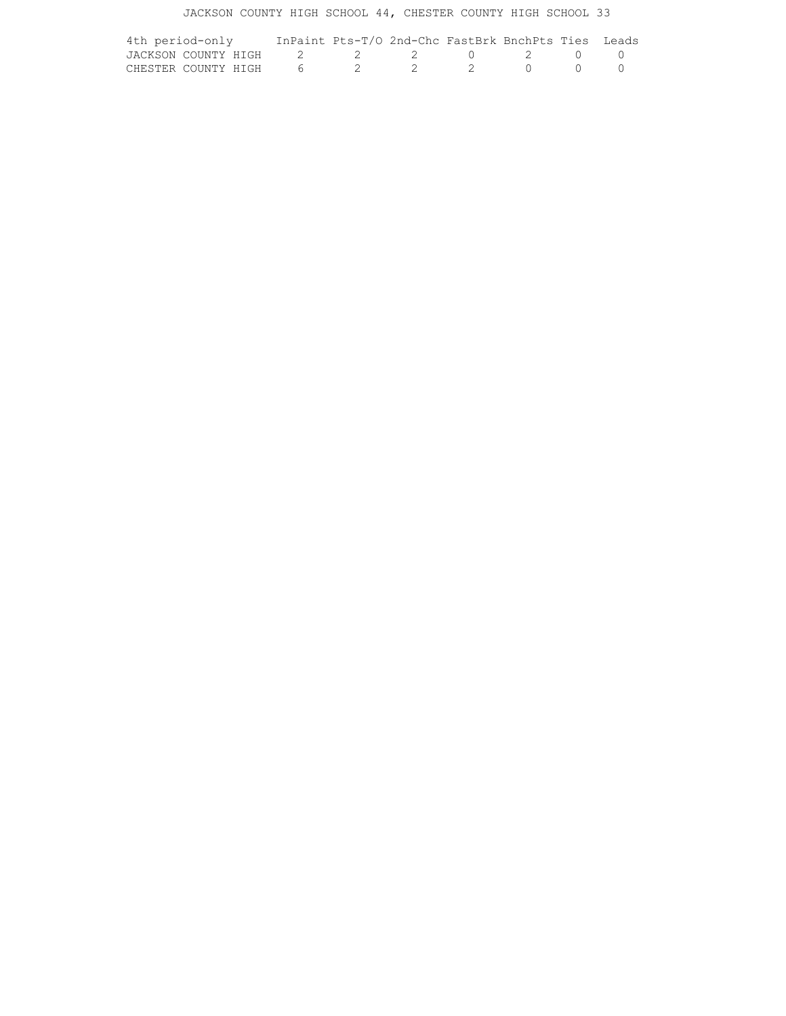## JACKSON COUNTY HIGH SCHOOL 44, CHESTER COUNTY HIGH SCHOOL 33

| 4th period-only                   | InPaint Pts-T/O 2nd-Chc FastBrk BnchPts Ties Leads |  |  |  |
|-----------------------------------|----------------------------------------------------|--|--|--|
| JACKSON COUNTY HIGH 2 2 2 0 2 0 0 |                                                    |  |  |  |
| CHESTER COUNTY HIGH 6 2 2 2 0 0 0 |                                                    |  |  |  |